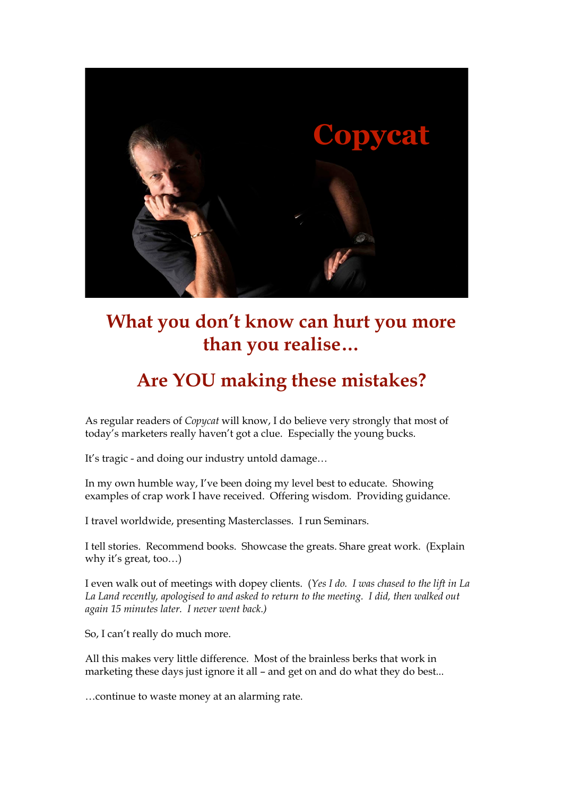

# **What you don't know can hurt you more than you realise…**

# **Are YOU making these mistakes?**

As regular readers of *Copycat* will know, I do believe very strongly that most of today's marketers really haven't got a clue. Especially the young bucks.

It's tragic - and doing our industry untold damage…

In my own humble way, I've been doing my level best to educate. Showing examples of crap work I have received. Offering wisdom. Providing guidance.

I travel worldwide, presenting Masterclasses. I run Seminars.

I tell stories. Recommend books. Showcase the greats. Share great work. (Explain why it's great, too…)

I even walk out of meetings with dopey clients. (*Yes I do. I was chased to the lift in La La Land recently, apologised to and asked to return to the meeting. I did, then walked out again 15 minutes later. I never went back.)*

So, I can't really do much more.

All this makes very little difference. Most of the brainless berks that work in marketing these days just ignore it all – and get on and do what they do best...

…continue to waste money at an alarming rate.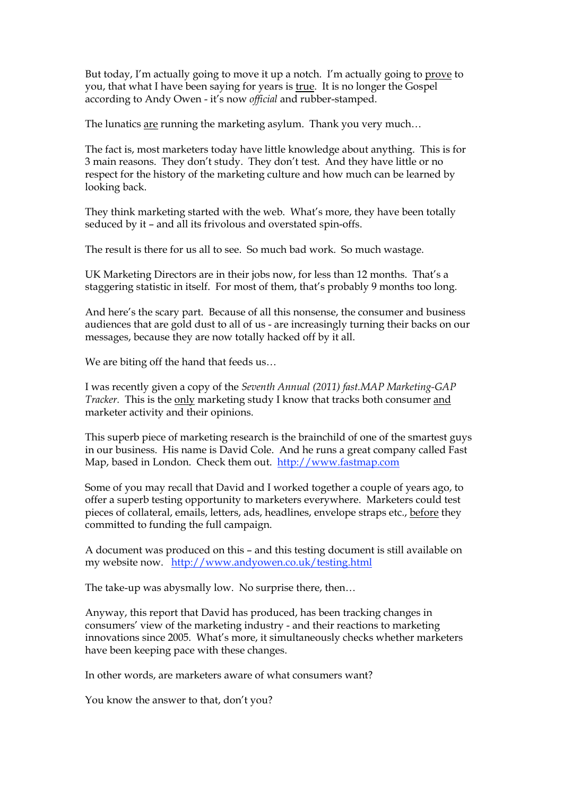But today, I'm actually going to move it up a notch. I'm actually going to prove to you, that what I have been saying for years is true. It is no longer the Gospel according to Andy Owen - it's now *official* and rubber-stamped.

The lunatics are running the marketing asylum. Thank you very much…

The fact is, most marketers today have little knowledge about anything. This is for 3 main reasons. They don't study. They don't test. And they have little or no respect for the history of the marketing culture and how much can be learned by looking back.

They think marketing started with the web. What's more, they have been totally seduced by it – and all its frivolous and overstated spin-offs.

The result is there for us all to see. So much bad work. So much wastage.

UK Marketing Directors are in their jobs now, for less than 12 months. That's a staggering statistic in itself. For most of them, that's probably 9 months too long.

And here's the scary part. Because of all this nonsense, the consumer and business audiences that are gold dust to all of us - are increasingly turning their backs on our messages, because they are now totally hacked off by it all.

We are biting off the hand that feeds us…

I was recently given a copy of the *Seventh Annual (2011) fast.MAP Marketing-GAP Tracker.* This is the only marketing study I know that tracks both consumer and marketer activity and their opinions.

This superb piece of marketing research is the brainchild of one of the smartest guys in our business. His name is David Cole. And he runs a great company called Fast Map, based in London. Check them out. http://www.fastmap.com

Some of you may recall that David and I worked together a couple of years ago, to offer a superb testing opportunity to marketers everywhere. Marketers could test pieces of collateral, emails, letters, ads, headlines, envelope straps etc., before they committed to funding the full campaign.

A document was produced on this – and this testing document is still available on my website now. http://www.andyowen.co.uk/testing.html

The take-up was abysmally low. No surprise there, then…

Anyway, this report that David has produced, has been tracking changes in consumers' view of the marketing industry - and their reactions to marketing innovations since 2005. What's more, it simultaneously checks whether marketers have been keeping pace with these changes.

In other words, are marketers aware of what consumers want?

You know the answer to that, don't you?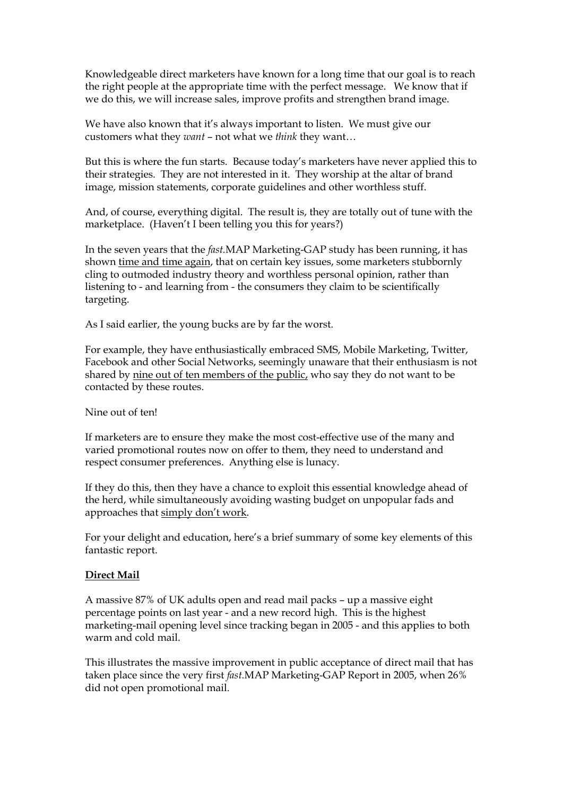Knowledgeable direct marketers have known for a long time that our goal is to reach the right people at the appropriate time with the perfect message. We know that if we do this, we will increase sales, improve profits and strengthen brand image.

We have also known that it's always important to listen. We must give our customers what they *want* – not what we *think* they want…

But this is where the fun starts. Because today's marketers have never applied this to their strategies. They are not interested in it. They worship at the altar of brand image, mission statements, corporate guidelines and other worthless stuff.

And, of course, everything digital. The result is, they are totally out of tune with the marketplace. (Haven't I been telling you this for years?)

In the seven years that the *fast.*MAP Marketing-GAP study has been running, it has shown time and time again, that on certain key issues, some marketers stubbornly cling to outmoded industry theory and worthless personal opinion, rather than listening to - and learning from - the consumers they claim to be scientifically targeting.

As I said earlier, the young bucks are by far the worst.

For example, they have enthusiastically embraced SMS, Mobile Marketing, Twitter, Facebook and other Social Networks, seemingly unaware that their enthusiasm is not shared by nine out of ten members of the public, who say they do not want to be contacted by these routes.

Nine out of ten!

If marketers are to ensure they make the most cost-effective use of the many and varied promotional routes now on offer to them, they need to understand and respect consumer preferences. Anything else is lunacy.

If they do this, then they have a chance to exploit this essential knowledge ahead of the herd, while simultaneously avoiding wasting budget on unpopular fads and approaches that simply don't work.

For your delight and education, here's a brief summary of some key elements of this fantastic report.

### **Direct Mail**

A massive 87% of UK adults open and read mail packs – up a massive eight percentage points on last year - and a new record high. This is the highest marketing-mail opening level since tracking began in 2005 - and this applies to both warm and cold mail.

This illustrates the massive improvement in public acceptance of direct mail that has taken place since the very first *fast.*MAP Marketing-GAP Report in 2005, when 26% did not open promotional mail.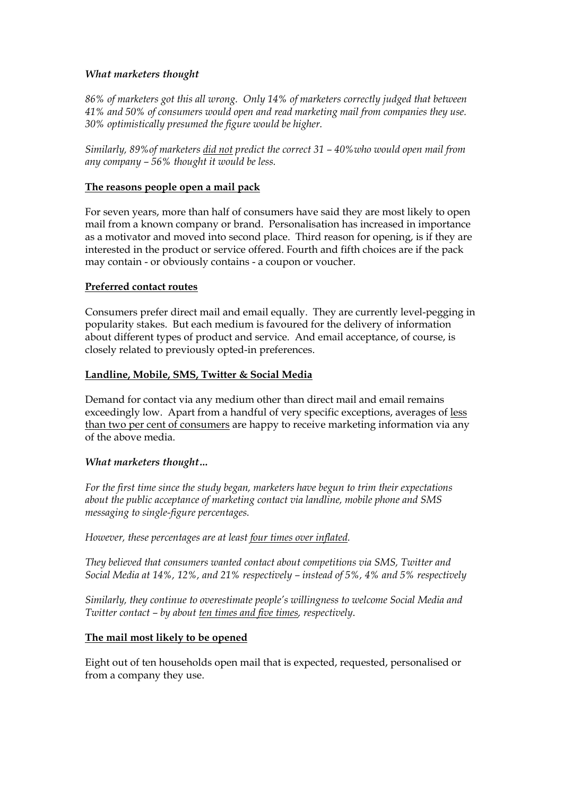# *What marketers thought*

*86% of marketers got this all wrong. Only 14% of marketers correctly judged that between 41% and 50% of consumers would open and read marketing mail from companies they use. 30% optimistically presumed the figure would be higher.*

*Similarly, 89%of marketers did not predict the correct 31 – 40%who would open mail from any company – 56% thought it would be less.*

### **The reasons people open a mail pack**

For seven years, more than half of consumers have said they are most likely to open mail from a known company or brand. Personalisation has increased in importance as a motivator and moved into second place. Third reason for opening, is if they are interested in the product or service offered. Fourth and fifth choices are if the pack may contain - or obviously contains - a coupon or voucher.

### **Preferred contact routes**

Consumers prefer direct mail and email equally. They are currently level-pegging in popularity stakes. But each medium is favoured for the delivery of information about different types of product and service. And email acceptance, of course, is closely related to previously opted-in preferences.

### **Landline, Mobile, SMS, Twitter & Social Media**

Demand for contact via any medium other than direct mail and email remains exceedingly low. Apart from a handful of very specific exceptions, averages of less than two per cent of consumers are happy to receive marketing information via any of the above media.

### *What marketers thought…*

*For the first time since the study began, marketers have begun to trim their expectations about the public acceptance of marketing contact via landline, mobile phone and SMS messaging to single-figure percentages.* 

*However, these percentages are at least four times over inflated.*

*They believed that consumers wanted contact about competitions via SMS, Twitter and Social Media at 14%, 12%, and 21% respectively – instead of 5%, 4% and 5% respectively*

*Similarly, they continue to overestimate people's willingness to welcome Social Media and Twitter contact – by about ten times and five times, respectively*.

### **The mail most likely to be opened**

Eight out of ten households open mail that is expected, requested, personalised or from a company they use.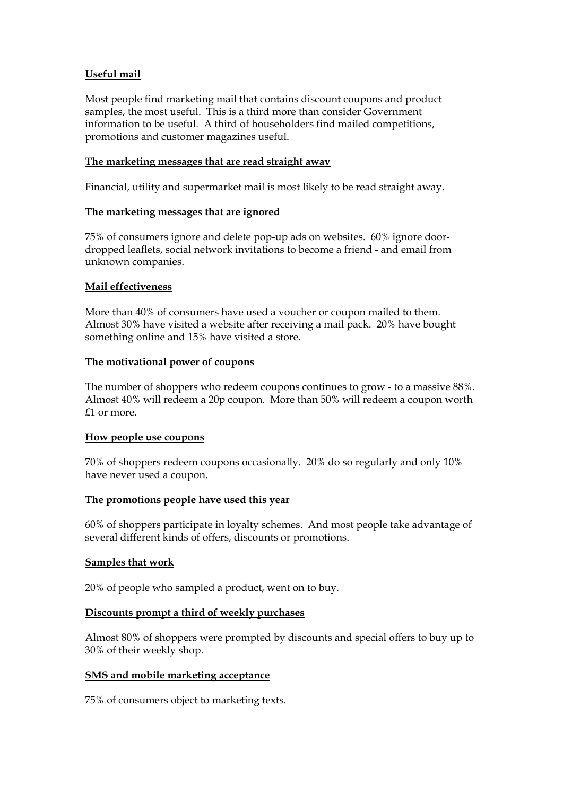# **Useful mail**

Most people find marketing mail that contains discount coupons and product samples, the most useful. This is a third more than consider Government information to be useful. A third of householders find mailed competitions, promotions and customer magazines useful.

# **The marketing messages that are read straight away**

Financial, utility and supermarket mail is most likely to be read straight away.

# **The marketing messages that are ignored**

75% of consumers ignore and delete pop-up ads on websites. 60% ignore doordropped leaflets, social network invitations to become a friend - and email from unknown companies.

# **Mail effectiveness**

More than 40% of consumers have used a voucher or coupon mailed to them. Almost 30% have visited a website after receiving a mail pack. 20% have bought something online and 15% have visited a store.

# **The motivational power of coupons**

The number of shoppers who redeem coupons continues to grow - to a massive 88%. Almost 40% will redeem a 20p coupon. More than 50% will redeem a coupon worth £1 or more.

# **How people use coupons**

70% of shoppers redeem coupons occasionally. 20% do so regularly and only 10% have never used a coupon.

# **The promotions people have used this year**

60% of shoppers participate in loyalty schemes. And most people take advantage of several different kinds of offers, discounts or promotions.

# **Samples that work**

20% of people who sampled a product, went on to buy.

# **Discounts prompt a third of weekly purchases**

Almost 80% of shoppers were prompted by discounts and special offers to buy up to 30% of their weekly shop.

# **SMS and mobile marketing acceptance**

75% of consumers object to marketing texts.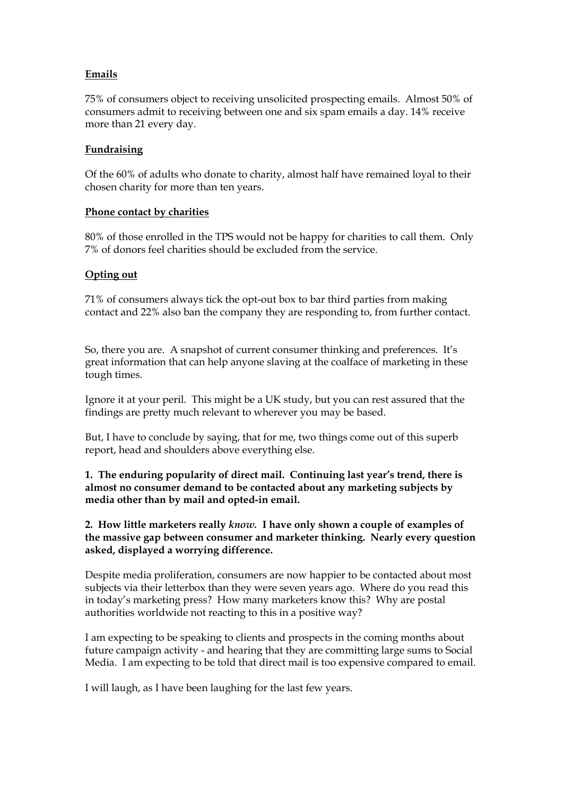# **Emails**

75% of consumers object to receiving unsolicited prospecting emails. Almost 50% of consumers admit to receiving between one and six spam emails a day. 14% receive more than 21 every day.

# **Fundraising**

Of the 60% of adults who donate to charity, almost half have remained loyal to their chosen charity for more than ten years.

# **Phone contact by charities**

80% of those enrolled in the TPS would not be happy for charities to call them. Only 7% of donors feel charities should be excluded from the service.

# **Opting out**

71% of consumers always tick the opt-out box to bar third parties from making contact and 22% also ban the company they are responding to, from further contact.

So, there you are. A snapshot of current consumer thinking and preferences. It's great information that can help anyone slaving at the coalface of marketing in these tough times.

Ignore it at your peril. This might be a UK study, but you can rest assured that the findings are pretty much relevant to wherever you may be based.

But, I have to conclude by saying, that for me, two things come out of this superb report, head and shoulders above everything else.

**1. The enduring popularity of direct mail. Continuing last year's trend, there is almost no consumer demand to be contacted about any marketing subjects by media other than by mail and opted-in email.**

**2. How little marketers really** *know.* **I have only shown a couple of examples of the massive gap between consumer and marketer thinking. Nearly every question asked, displayed a worrying difference.**

Despite media proliferation, consumers are now happier to be contacted about most subjects via their letterbox than they were seven years ago. Where do you read this in today's marketing press? How many marketers know this? Why are postal authorities worldwide not reacting to this in a positive way?

I am expecting to be speaking to clients and prospects in the coming months about future campaign activity - and hearing that they are committing large sums to Social Media. I am expecting to be told that direct mail is too expensive compared to email.

I will laugh, as I have been laughing for the last few years.